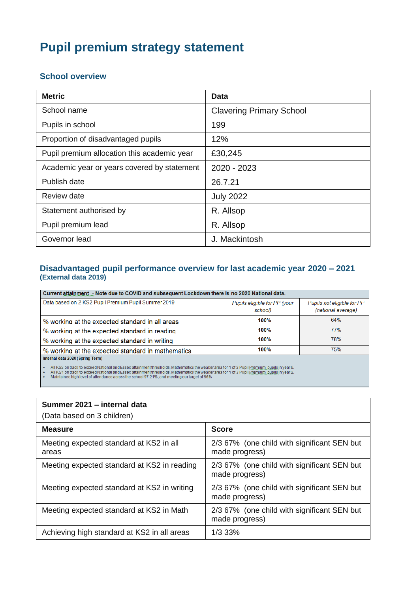# **Pupil premium strategy statement**

# **School overview**

| <b>Metric</b>                               | <b>Data</b>                     |
|---------------------------------------------|---------------------------------|
| School name                                 | <b>Clavering Primary School</b> |
| Pupils in school                            | 199                             |
| Proportion of disadvantaged pupils          | 12%                             |
| Pupil premium allocation this academic year | £30,245                         |
| Academic year or years covered by statement | 2020 - 2023                     |
| Publish date                                | 26.7.21                         |
| Review date                                 | <b>July 2022</b>                |
| Statement authorised by                     | R. Allsop                       |
| Pupil premium lead                          | R. Allsop                       |
| Governor lead                               | J. Mackintosh                   |

# **Disadvantaged pupil performance overview for last academic year 2020 – 2021 (External data 2019)**

Current attainment - Note due to COVID and subsequent Lockdown there is no 2020 National data.

| Data based on 2 KS2 Pupil Premium Pupil Summer 2019 | Pupils eligible for PP (your<br>school) | Pupils not eligible for PP<br>(national average) |
|-----------------------------------------------------|-----------------------------------------|--------------------------------------------------|
| % working at the expected standard in all areas     | 100%                                    | 64%                                              |
| % working at the expected standard in reading       | 100%                                    | 77%                                              |
| % working at the expected standard in writing       | 100%                                    | 78%                                              |
| % working at the expected standard in mathematics   | 100%                                    | 75%                                              |

Internal data 2020 (Spring Term)

- All KS2 on track to exceed National and Essex attainment thresholds. Mathematics the weaker area for 1 of 3 Pupil <u>Premium, pupils</u> in year 6.<br>- All KS1 on track to exceed National and Essex attainment thresholds. Mathem

| Summer 2021 - internal data<br>(Data based on 3 children) |                                                               |
|-----------------------------------------------------------|---------------------------------------------------------------|
| <b>Measure</b>                                            | <b>Score</b>                                                  |
| Meeting expected standard at KS2 in all<br>areas          | 2/3 67% (one child with significant SEN but<br>made progress) |
| Meeting expected standard at KS2 in reading               | 2/3 67% (one child with significant SEN but<br>made progress) |
| Meeting expected standard at KS2 in writing               | 2/3 67% (one child with significant SEN but<br>made progress) |
| Meeting expected standard at KS2 in Math                  | 2/3 67% (one child with significant SEN but<br>made progress) |
| Achieving high standard at KS2 in all areas               | $1/3$ 33%                                                     |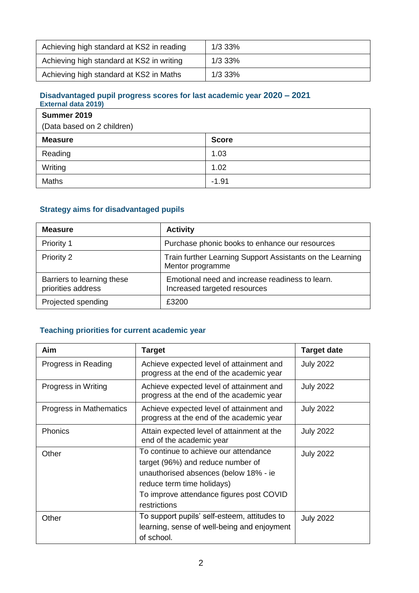| Achieving high standard at KS2 in reading | 1/3 33% |
|-------------------------------------------|---------|
| Achieving high standard at KS2 in writing | 1/3 33% |
| Achieving high standard at KS2 in Maths   | 1/3 33% |

#### **Disadvantaged pupil progress scores for last academic year 2020 – 2021 External data 2019)**

| Summer 2019                |              |
|----------------------------|--------------|
| (Data based on 2 children) |              |
| <b>Measure</b>             | <b>Score</b> |
| Reading                    | 1.03         |
| Writing                    | 1.02         |
| Maths                      | $-1.91$      |

# **Strategy aims for disadvantaged pupils**

| <b>Measure</b>                                   | <b>Activity</b>                                                                 |
|--------------------------------------------------|---------------------------------------------------------------------------------|
| Priority 1                                       | Purchase phonic books to enhance our resources                                  |
| Priority 2                                       | Train further Learning Support Assistants on the Learning<br>Mentor programme   |
| Barriers to learning these<br>priorities address | Emotional need and increase readiness to learn.<br>Increased targeted resources |
| Projected spending                               | £3200                                                                           |

# **Teaching priorities for current academic year**

| Aim                     | <b>Target</b>                                                                                                                                                                                                 | <b>Target date</b> |
|-------------------------|---------------------------------------------------------------------------------------------------------------------------------------------------------------------------------------------------------------|--------------------|
| Progress in Reading     | Achieve expected level of attainment and<br>progress at the end of the academic year                                                                                                                          | <b>July 2022</b>   |
| Progress in Writing     | Achieve expected level of attainment and<br>progress at the end of the academic year                                                                                                                          | <b>July 2022</b>   |
| Progress in Mathematics | Achieve expected level of attainment and<br>progress at the end of the academic year                                                                                                                          | <b>July 2022</b>   |
| Phonics                 | Attain expected level of attainment at the<br>end of the academic year                                                                                                                                        | <b>July 2022</b>   |
| Other                   | To continue to achieve our attendance<br>target (96%) and reduce number of<br>unauthorised absences (below 18% - ie<br>reduce term time holidays)<br>To improve attendance figures post COVID<br>restrictions | <b>July 2022</b>   |
| Other                   | To support pupils' self-esteem, attitudes to<br>learning, sense of well-being and enjoyment<br>of school.                                                                                                     | <b>July 2022</b>   |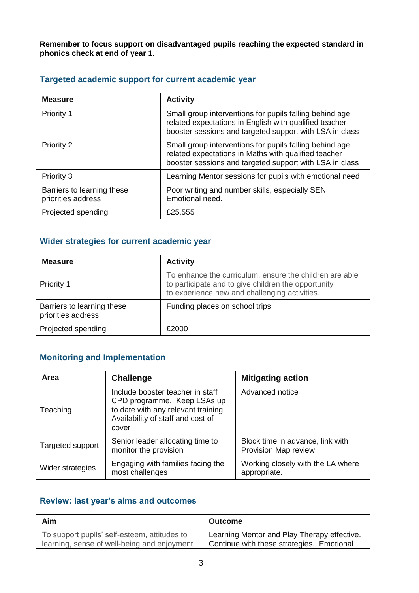**Remember to focus support on disadvantaged pupils reaching the expected standard in phonics check at end of year 1.**

| <b>Measure</b>                                   | <b>Activity</b>                                                                                                                                                              |
|--------------------------------------------------|------------------------------------------------------------------------------------------------------------------------------------------------------------------------------|
| Priority 1                                       | Small group interventions for pupils falling behind age<br>related expectations in English with qualified teacher<br>booster sessions and targeted support with LSA in class |
| Priority 2                                       | Small group interventions for pupils falling behind age<br>related expectations in Maths with qualified teacher<br>booster sessions and targeted support with LSA in class   |
| Priority 3                                       | Learning Mentor sessions for pupils with emotional need                                                                                                                      |
| Barriers to learning these<br>priorities address | Poor writing and number skills, especially SEN.<br>Emotional need.                                                                                                           |
| Projected spending                               | £25,555                                                                                                                                                                      |

# **Targeted academic support for current academic year**

# **Wider strategies for current academic year**

| <b>Measure</b>                                   | <b>Activity</b>                                                                                                                                                 |
|--------------------------------------------------|-----------------------------------------------------------------------------------------------------------------------------------------------------------------|
| <b>Priority 1</b>                                | To enhance the curriculum, ensure the children are able<br>to participate and to give children the opportunity<br>to experience new and challenging activities. |
| Barriers to learning these<br>priorities address | Funding places on school trips                                                                                                                                  |
| Projected spending                               | £2000                                                                                                                                                           |

# **Monitoring and Implementation**

| Area             | <b>Challenge</b>                                                                                                                                     | <b>Mitigating action</b>                                 |
|------------------|------------------------------------------------------------------------------------------------------------------------------------------------------|----------------------------------------------------------|
| Teaching         | Include booster teacher in staff<br>CPD programme. Keep LSAs up<br>to date with any relevant training.<br>Availability of staff and cost of<br>cover | Advanced notice                                          |
| Targeted support | Senior leader allocating time to<br>monitor the provision                                                                                            | Block time in advance, link with<br>Provision Map review |
| Wider strategies | Engaging with families facing the<br>most challenges                                                                                                 | Working closely with the LA where<br>appropriate.        |

# **Review: last year's aims and outcomes**

| Aim                                          | <b>Outcome</b>                              |
|----------------------------------------------|---------------------------------------------|
| To support pupils' self-esteem, attitudes to | Learning Mentor and Play Therapy effective. |
| learning, sense of well-being and enjoyment  | Continue with these strategies. Emotional   |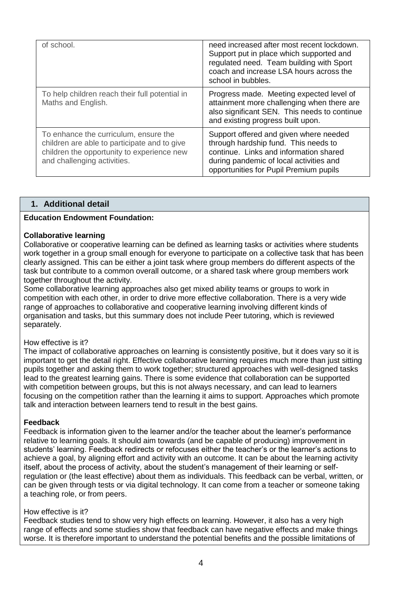| of school.                                                                                                                                                         | need increased after most recent lockdown.<br>Support put in place which supported and<br>regulated need. Team building with Sport<br>coach and increase LSA hours across the<br>school in bubbles.           |
|--------------------------------------------------------------------------------------------------------------------------------------------------------------------|---------------------------------------------------------------------------------------------------------------------------------------------------------------------------------------------------------------|
| To help children reach their full potential in<br>Maths and English.                                                                                               | Progress made. Meeting expected level of<br>attainment more challenging when there are<br>also significant SEN. This needs to continue<br>and existing progress built upon.                                   |
| To enhance the curriculum, ensure the<br>children are able to participate and to give<br>children the opportunity to experience new<br>and challenging activities. | Support offered and given where needed<br>through hardship fund. This needs to<br>continue. Links and information shared<br>during pandemic of local activities and<br>opportunities for Pupil Premium pupils |

## **1. Additional detail**

### **Education Endowment Foundation:**

#### **Collaborative learning**

Collaborative or cooperative learning can be defined as learning tasks or activities where students work together in a group small enough for everyone to participate on a collective task that has been clearly assigned. This can be either a joint task where group members do different aspects of the task but contribute to a common overall outcome, or a shared task where group members work together throughout the activity.

Some collaborative learning approaches also get mixed ability teams or groups to work in competition with each other, in order to drive more effective collaboration. There is a very wide range of approaches to collaborative and cooperative learning involving different kinds of organisation and tasks, but this summary does not include Peer tutoring, which is reviewed separately.

#### How effective is it?

The impact of collaborative approaches on learning is consistently positive, but it does vary so it is important to get the detail right. Effective collaborative learning requires much more than just sitting pupils together and asking them to work together; structured approaches with well-designed tasks lead to the greatest learning gains. There is some evidence that collaboration can be supported with competition between groups, but this is not always necessary, and can lead to learners focusing on the competition rather than the learning it aims to support. Approaches which promote talk and interaction between learners tend to result in the best gains.

#### **Feedback**

Feedback is information given to the learner and/or the teacher about the learner's performance relative to learning goals. It should aim towards (and be capable of producing) improvement in students' learning. Feedback redirects or refocuses either the teacher's or the learner's actions to achieve a goal, by aligning effort and activity with an outcome. It can be about the learning activity itself, about the process of activity, about the student's management of their learning or selfregulation or (the least effective) about them as individuals. This feedback can be verbal, written, or can be given through tests or via digital technology. It can come from a teacher or someone taking a teaching role, or from peers.

#### How effective is it?

Feedback studies tend to show very high effects on learning. However, it also has a very high range of effects and some studies show that feedback can have negative effects and make things worse. It is therefore important to understand the potential benefits and the possible limitations of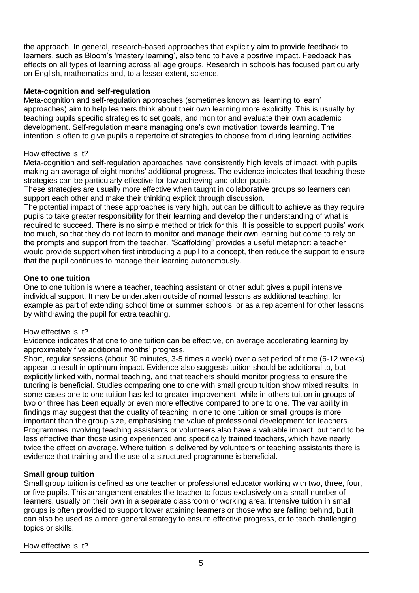the approach. In general, research-based approaches that explicitly aim to provide feedback to learners, such as Bloom's 'mastery learning', also tend to have a positive impact. Feedback has effects on all types of learning across all age groups. Research in schools has focused particularly on English, mathematics and, to a lesser extent, science.

### **Meta-cognition and self-regulation**

Meta-cognition and self-regulation approaches (sometimes known as 'learning to learn' approaches) aim to help learners think about their own learning more explicitly. This is usually by teaching pupils specific strategies to set goals, and monitor and evaluate their own academic development. Self-regulation means managing one's own motivation towards learning. The intention is often to give pupils a repertoire of strategies to choose from during learning activities.

### How effective is it?

Meta-cognition and self-regulation approaches have consistently high levels of impact, with pupils making an average of eight months' additional progress. The evidence indicates that teaching these strategies can be particularly effective for low achieving and older pupils.

These strategies are usually more effective when taught in collaborative groups so learners can support each other and make their thinking explicit through discussion.

The potential impact of these approaches is very high, but can be difficult to achieve as they require pupils to take greater responsibility for their learning and develop their understanding of what is required to succeed. There is no simple method or trick for this. It is possible to support pupils' work too much, so that they do not learn to monitor and manage their own learning but come to rely on the prompts and support from the teacher. "Scaffolding" provides a useful metaphor: a teacher would provide support when first introducing a pupil to a concept, then reduce the support to ensure that the pupil continues to manage their learning autonomously.

### **One to one tuition**

One to one tuition is where a teacher, teaching assistant or other adult gives a pupil intensive individual support. It may be undertaken outside of normal lessons as additional teaching, for example as part of extending school time or summer schools, or as a replacement for other lessons by withdrawing the pupil for extra teaching.

### How effective is it?

Evidence indicates that one to one tuition can be effective, on average accelerating learning by approximately five additional months' progress.

Short, regular sessions (about 30 minutes, 3-5 times a week) over a set period of time (6-12 weeks) appear to result in optimum impact. Evidence also suggests tuition should be additional to, but explicitly linked with, normal teaching, and that teachers should monitor progress to ensure the tutoring is beneficial. Studies comparing one to one with small group tuition show mixed results. In some cases one to one tuition has led to greater improvement, while in others tuition in groups of two or three has been equally or even more effective compared to one to one. The variability in findings may suggest that the quality of teaching in one to one tuition or small groups is more important than the group size, emphasising the value of professional development for teachers. Programmes involving teaching assistants or volunteers also have a valuable impact, but tend to be less effective than those using experienced and specifically trained teachers, which have nearly twice the effect on average. Where tuition is delivered by volunteers or teaching assistants there is evidence that training and the use of a structured programme is beneficial.

### **Small group tuition**

Small group tuition is defined as one teacher or professional educator working with two, three, four, or five pupils. This arrangement enables the teacher to focus exclusively on a small number of learners, usually on their own in a separate classroom or working area. Intensive tuition in small groups is often provided to support lower attaining learners or those who are falling behind, but it can also be used as a more general strategy to ensure effective progress, or to teach challenging topics or skills.

How effective is it?